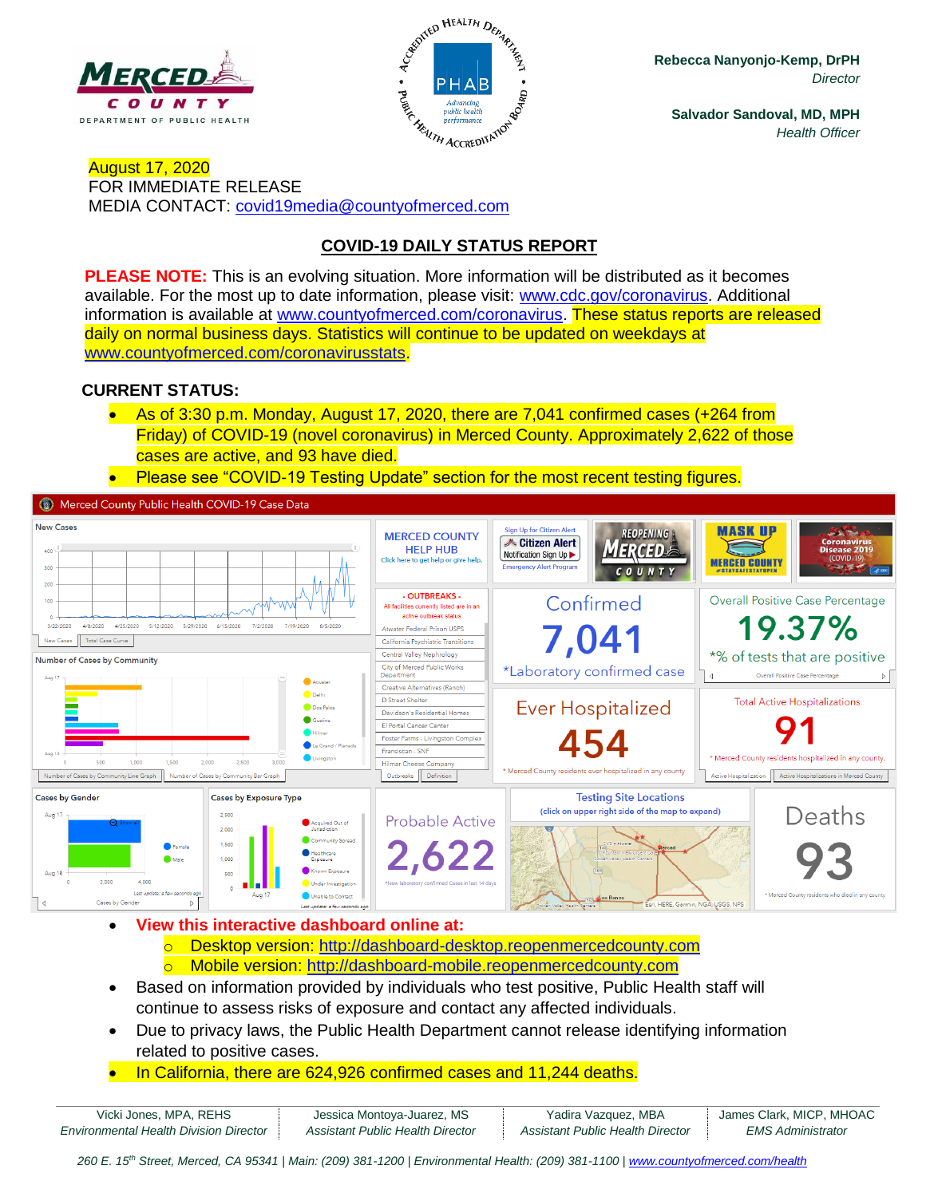



**Rebecca Nanyonjo-Kemp, DrPH** *Director*

**Salvador Sandoval, MD, MPH** *Health Officer*

August 17, 2020 FOR IMMEDIATE RELEASE MEDIA CONTACT: [covid19media@countyofmerced.com](mailto:covid19media@countyofmerced.com)

# **COVID-19 DAILY STATUS REPORT**

**PLEASE NOTE:** This is an evolving situation. More information will be distributed as it becomes available. For the most up to date information, please visit: [www.cdc.gov/coronavirus.](http://www.cdc.gov/coronavirus) Additional information is available at [www.countyofmerced.com/coronavirus.](http://www.countyofmerced.com/coronavirus) These status reports are released daily on normal business days. Statistics will continue to be updated on weekdays at [www.countyofmerced.com/coronavirusstats.](http://www.countyofmerced.com/coronavirusstats)

#### **CURRENT STATUS:**

- As of 3:30 p.m. Monday, August 17, 2020, there are 7,041 confirmed cases (+264 from Friday) of COVID-19 (novel coronavirus) in Merced County. Approximately 2,622 of those cases are active, and 93 have died.
- Please see "COVID-19 Testing Update" section for the most recent testing figures.

Merced County Public Health COVID-19 Case Data



- **View this interactive dashboard online at:**
	- o Desktop version: [http://dashboard-desktop.reopenmercedcounty.com](http://dashboard-desktop.reopenmercedcounty.com/)
	- o Mobile version: [http://dashboard-mobile.reopenmercedcounty.com](http://dashboard-mobile.reopenmercedcounty.com/)
- Based on information provided by individuals who test positive, Public Health staff will continue to assess risks of exposure and contact any affected individuals.
- Due to privacy laws, the Public Health Department cannot release identifying information related to positive cases.
- In California, there are 624,926 confirmed cases and 11,244 deaths.

| Vicki Jones, MPA, REHS                        | Jessica Montoya-Juarez, MS       | Yadira Vazquez, MBA              | James Clark, MICP, MHOAC |
|-----------------------------------------------|----------------------------------|----------------------------------|--------------------------|
| <b>Environmental Health Division Director</b> | Assistant Public Health Director | Assistant Public Health Director | <i>EMS Administrator</i> |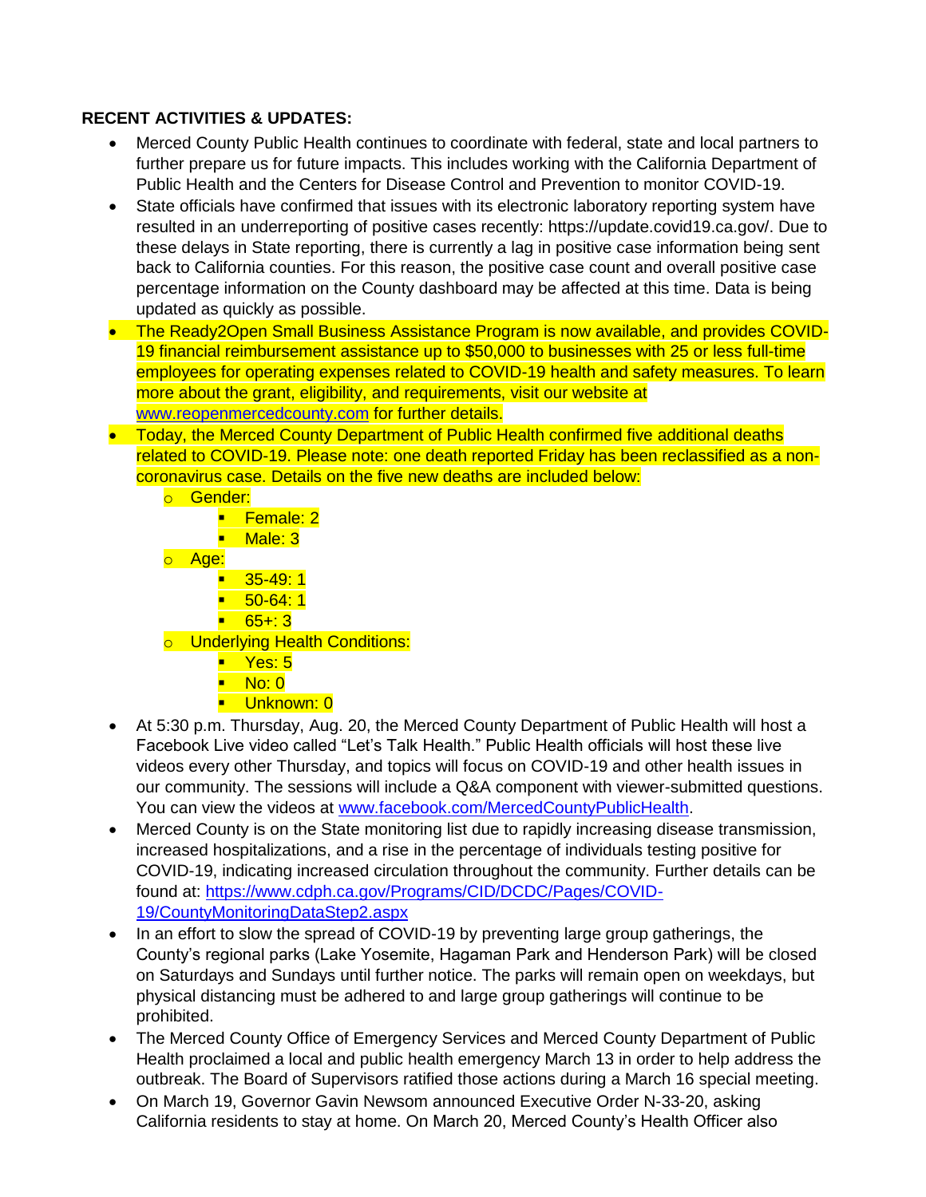### **RECENT ACTIVITIES & UPDATES:**

- Merced County Public Health continues to coordinate with federal, state and local partners to further prepare us for future impacts. This includes working with the California Department of Public Health and the Centers for Disease Control and Prevention to monitor COVID-19.
- State officials have confirmed that issues with its electronic laboratory reporting system have resulted in an underreporting of positive cases recently: https://update.covid19.ca.gov/. Due to these delays in State reporting, there is currently a lag in positive case information being sent back to California counties. For this reason, the positive case count and overall positive case percentage information on the County dashboard may be affected at this time. Data is being updated as quickly as possible.
- The Ready2Open Small Business Assistance Program is now available, and provides COVID-19 financial reimbursement assistance up to \$50,000 to businesses with 25 or less full-time employees for operating expenses related to COVID-19 health and safety measures. To learn more about the grant, eligibility, and requirements, visit our website at [www.reopenmercedcounty.com](http://www.reopenmercedcounty.com/) for further details.
- Today, the Merced County Department of Public Health confirmed five additional deaths related to COVID-19. Please note: one death reported Friday has been reclassified as a noncoronavirus case. Details on the five new deaths are included below:
	- o Gender: ■ Female: 2 ■ Male: 3 o Age:  $\blacksquare$  35-49:1  $\blacksquare$  50-64:1  $-65 + 3$ o Underlying Health Conditions:  $\blacksquare$  Yes: 5 ■ No: 0 **·** Unknown: 0
- At 5:30 p.m. Thursday, Aug. 20, the Merced County Department of Public Health will host a Facebook Live video called "Let's Talk Health." Public Health officials will host these live videos every other Thursday, and topics will focus on COVID-19 and other health issues in our community. The sessions will include a Q&A component with viewer-submitted questions. You can view the videos at [www.facebook.com/MercedCountyPublicHealth.](http://www.facebook.com/MercedCountyPublicHealth)
- Merced County is on the State monitoring list due to rapidly increasing disease transmission, increased hospitalizations, and a rise in the percentage of individuals testing positive for COVID-19, indicating increased circulation throughout the community. Further details can be found at: [https://www.cdph.ca.gov/Programs/CID/DCDC/Pages/COVID-](https://www.cdph.ca.gov/Programs/CID/DCDC/Pages/COVID-19/CountyMonitoringDataStep2.aspx)[19/CountyMonitoringDataStep2.aspx](https://www.cdph.ca.gov/Programs/CID/DCDC/Pages/COVID-19/CountyMonitoringDataStep2.aspx)
- In an effort to slow the spread of COVID-19 by preventing large group gatherings, the County's regional parks (Lake Yosemite, Hagaman Park and Henderson Park) will be closed on Saturdays and Sundays until further notice. The parks will remain open on weekdays, but physical distancing must be adhered to and large group gatherings will continue to be prohibited.
- The Merced County Office of Emergency Services and Merced County Department of Public Health proclaimed a local and public health emergency March 13 in order to help address the outbreak. The Board of Supervisors ratified those actions during a March 16 special meeting.
- On March 19, Governor Gavin Newsom announced Executive Order N-33-20, asking California residents to stay at home. On March 20, Merced County's Health Officer also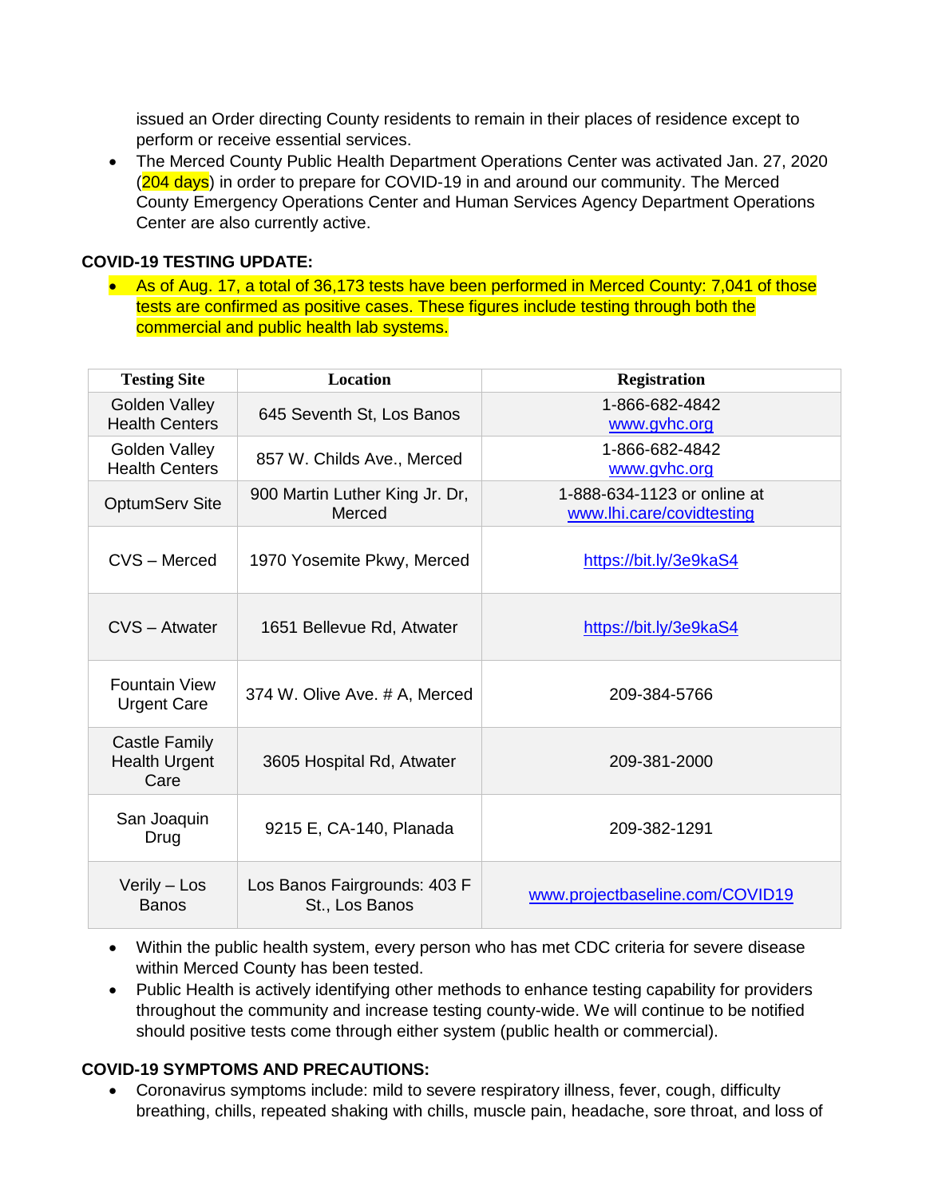issued an Order directing County residents to remain in their places of residence except to perform or receive essential services.

• The Merced County Public Health Department Operations Center was activated Jan. 27, 2020 (204 days) in order to prepare for COVID-19 in and around our community. The Merced County Emergency Operations Center and Human Services Agency Department Operations Center are also currently active.

#### **COVID-19 TESTING UPDATE:**

• As of Aug. 17, a total of 36,173 tests have been performed in Merced County: 7,041 of those tests are confirmed as positive cases. These figures include testing through both the commercial and public health lab systems.

| <b>Testing Site</b>                           | <b>Location</b>                                | <b>Registration</b>                                      |
|-----------------------------------------------|------------------------------------------------|----------------------------------------------------------|
| Golden Valley<br><b>Health Centers</b>        | 645 Seventh St, Los Banos                      | 1-866-682-4842<br>www.gyhc.org                           |
| Golden Valley<br><b>Health Centers</b>        | 857 W. Childs Ave., Merced                     | 1-866-682-4842<br>www.gvhc.org                           |
| <b>OptumServ Site</b>                         | 900 Martin Luther King Jr. Dr,<br>Merced       | 1-888-634-1123 or online at<br>www.lhi.care/covidtesting |
| CVS - Merced                                  | 1970 Yosemite Pkwy, Merced                     | https://bit.ly/3e9kaS4                                   |
| CVS - Atwater                                 | 1651 Bellevue Rd, Atwater                      | https://bit.ly/3e9kaS4                                   |
| <b>Fountain View</b><br><b>Urgent Care</b>    | 374 W. Olive Ave. # A, Merced                  | 209-384-5766                                             |
| Castle Family<br><b>Health Urgent</b><br>Care | 3605 Hospital Rd, Atwater                      | 209-381-2000                                             |
| San Joaquin<br>Drug                           | 9215 E, CA-140, Planada                        | 209-382-1291                                             |
| Verily - Los<br><b>Banos</b>                  | Los Banos Fairgrounds: 403 F<br>St., Los Banos | www.projectbaseline.com/COVID19                          |

- Within the public health system, every person who has met CDC criteria for severe disease within Merced County has been tested.
- Public Health is actively identifying other methods to enhance testing capability for providers throughout the community and increase testing county-wide. We will continue to be notified should positive tests come through either system (public health or commercial).

#### **COVID-19 SYMPTOMS AND PRECAUTIONS:**

• Coronavirus symptoms include: mild to severe respiratory illness, fever, cough, difficulty breathing, chills, repeated shaking with chills, muscle pain, headache, sore throat, and loss of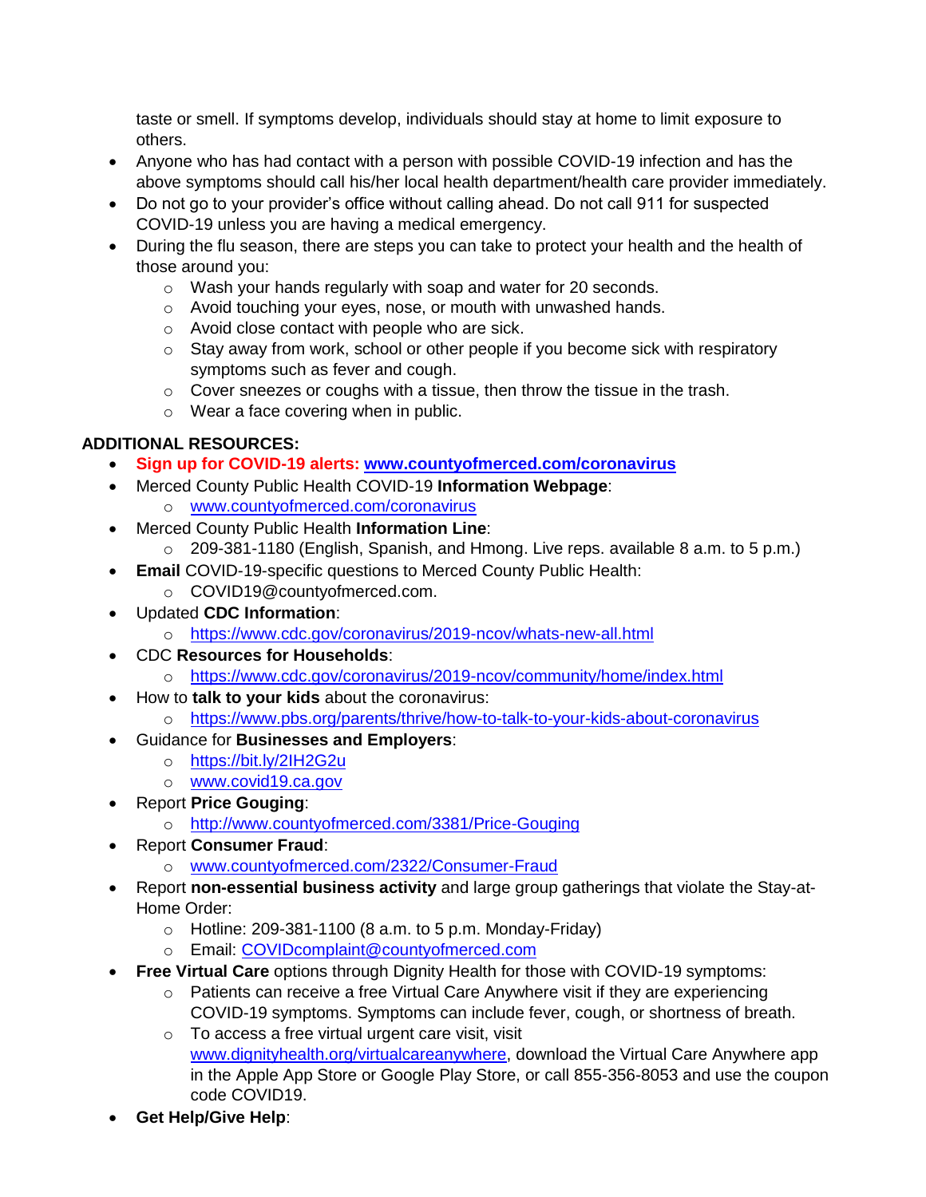taste or smell. If symptoms develop, individuals should stay at home to limit exposure to others.

- Anyone who has had contact with a person with possible COVID-19 infection and has the above symptoms should call his/her local health department/health care provider immediately.
- Do not go to your provider's office without calling ahead. Do not call 911 for suspected COVID-19 unless you are having a medical emergency.
- During the flu season, there are steps you can take to protect your health and the health of those around you:
	- o Wash your hands regularly with soap and water for 20 seconds.
	- o Avoid touching your eyes, nose, or mouth with unwashed hands.
	- o Avoid close contact with people who are sick.
	- o Stay away from work, school or other people if you become sick with respiratory symptoms such as fever and cough.
	- o Cover sneezes or coughs with a tissue, then throw the tissue in the trash.
	- o Wear a face covering when in public.

## **ADDITIONAL RESOURCES:**

- **Sign up for COVID-19 alerts: [www.countyofmerced.com/coronavirus](http://www.countyofmerced.com/coronavirus)**
- Merced County Public Health COVID-19 **Information Webpage**:
	- o [www.countyofmerced.com/coronavirus](http://www.countyofmerced.com/coronavirus)
- Merced County Public Health **Information Line**:
	- o 209-381-1180 (English, Spanish, and Hmong. Live reps. available 8 a.m. to 5 p.m.)
	- **Email COVID-19-specific questions to Merced County Public Health:**
	- o COVID19@countyofmerced.com.
- Updated **CDC Information**:
	- o <https://www.cdc.gov/coronavirus/2019-ncov/whats-new-all.html>
- CDC **Resources for Households**:
	- o <https://www.cdc.gov/coronavirus/2019-ncov/community/home/index.html>
- How to **talk to your kids** about the coronavirus:
- o <https://www.pbs.org/parents/thrive/how-to-talk-to-your-kids-about-coronavirus>
- Guidance for **Businesses and Employers**:
	- o <https://bit.ly/2IH2G2u>
	- o [www.covid19.ca.gov](http://www.covid19.ca.gov/)
- Report **Price Gouging**:
	- o <http://www.countyofmerced.com/3381/Price-Gouging>
- Report **Consumer Fraud**:
	- o [www.countyofmerced.com/2322/Consumer-Fraud](http://www.countyofmerced.com/2322/Consumer-Fraud)
- Report **non-essential business activity** and large group gatherings that violate the Stay-at-Home Order:
	- $\circ$  Hotline: 209-381-1100 (8 a.m. to 5 p.m. Monday-Friday)
	- o Email: [COVIDcomplaint@countyofmerced.com](mailto:COVIDcomplaint@countyofmerced.com)
- **Free Virtual Care** options through Dignity Health for those with COVID-19 symptoms:
	- o Patients can receive a free Virtual Care Anywhere visit if they are experiencing COVID-19 symptoms. Symptoms can include fever, cough, or shortness of breath.
	- o To access a free virtual urgent care visit, visit [www.dignityhealth.org/virtualcareanywhere,](http://www.dignityhealth.org/virtualcareanywhere) download the Virtual Care Anywhere app in the Apple App Store or Google Play Store, or call 855-356-8053 and use the coupon code COVID19.
- **Get Help/Give Help**: